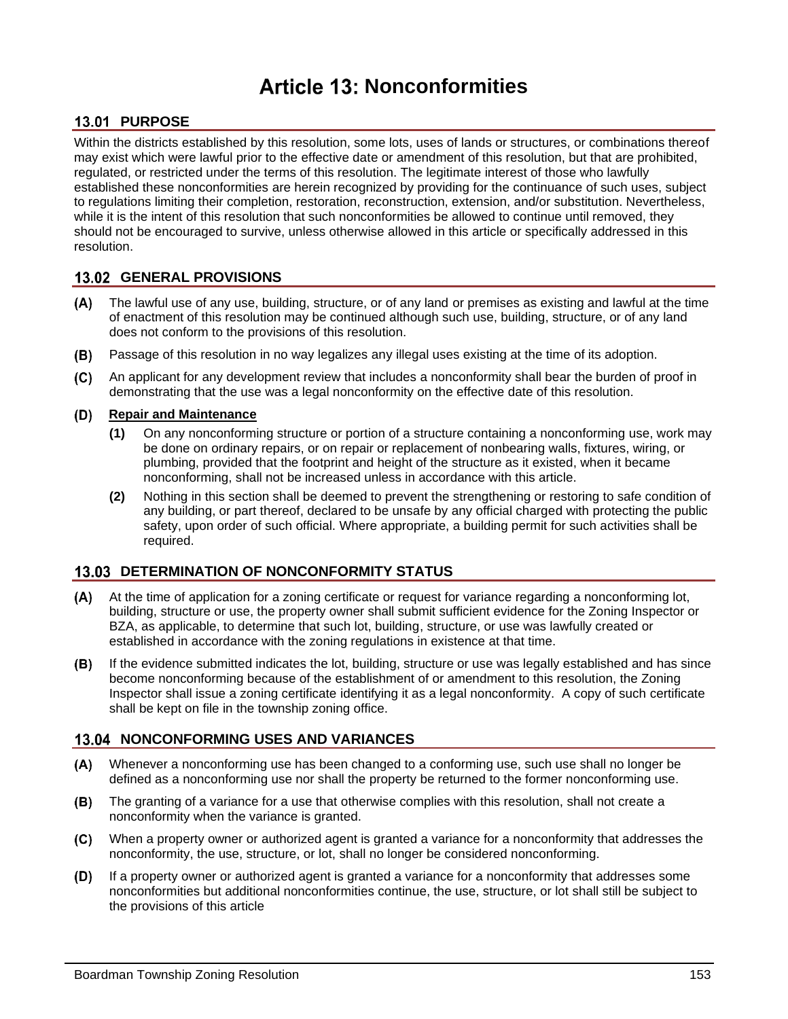# **Article 13: Nonconformities**

## **13.01 PURPOSE**

Within the districts established by this resolution, some lots, uses of lands or structures, or combinations thereof may exist which were lawful prior to the effective date or amendment of this resolution, but that are prohibited, regulated, or restricted under the terms of this resolution. The legitimate interest of those who lawfully established these nonconformities are herein recognized by providing for the continuance of such uses, subject to regulations limiting their completion, restoration, reconstruction, extension, and/or substitution. Nevertheless, while it is the intent of this resolution that such nonconformities be allowed to continue until removed, they should not be encouraged to survive, unless otherwise allowed in this article or specifically addressed in this resolution.

### **13.02 GENERAL PROVISIONS**

- The lawful use of any use, building, structure, or of any land or premises as existing and lawful at the time of enactment of this resolution may be continued although such use, building, structure, or of any land does not conform to the provisions of this resolution.
- Passage of this resolution in no way legalizes any illegal uses existing at the time of its adoption.  $(B)$
- An applicant for any development review that includes a nonconformity shall bear the burden of proof in  $(C)$ demonstrating that the use was a legal nonconformity on the effective date of this resolution.

#### **Repair and Maintenance** (D)

- **(1)** On any nonconforming structure or portion of a structure containing a nonconforming use, work may be done on ordinary repairs, or on repair or replacement of nonbearing walls, fixtures, wiring, or plumbing, provided that the footprint and height of the structure as it existed, when it became nonconforming, shall not be increased unless in accordance with this article.
- **(2)** Nothing in this section shall be deemed to prevent the strengthening or restoring to safe condition of any building, or part thereof, declared to be unsafe by any official charged with protecting the public safety, upon order of such official. Where appropriate, a building permit for such activities shall be required.

### **13.03 DETERMINATION OF NONCONFORMITY STATUS**

- $(A)$ At the time of application for a zoning certificate or request for variance regarding a nonconforming lot, building, structure or use, the property owner shall submit sufficient evidence for the Zoning Inspector or BZA, as applicable, to determine that such lot, building, structure, or use was lawfully created or established in accordance with the zoning regulations in existence at that time.
- $(B)$ If the evidence submitted indicates the lot, building, structure or use was legally established and has since become nonconforming because of the establishment of or amendment to this resolution, the Zoning Inspector shall issue a zoning certificate identifying it as a legal nonconformity. A copy of such certificate shall be kept on file in the township zoning office.

### **13.04 NONCONFORMING USES AND VARIANCES**

- $(A)$ Whenever a nonconforming use has been changed to a conforming use, such use shall no longer be defined as a nonconforming use nor shall the property be returned to the former nonconforming use.
- The granting of a variance for a use that otherwise complies with this resolution, shall not create a (B) nonconformity when the variance is granted.
- $(C)$ When a property owner or authorized agent is granted a variance for a nonconformity that addresses the nonconformity, the use, structure, or lot, shall no longer be considered nonconforming.
- $(D)$ If a property owner or authorized agent is granted a variance for a nonconformity that addresses some nonconformities but additional nonconformities continue, the use, structure, or lot shall still be subject to the provisions of this article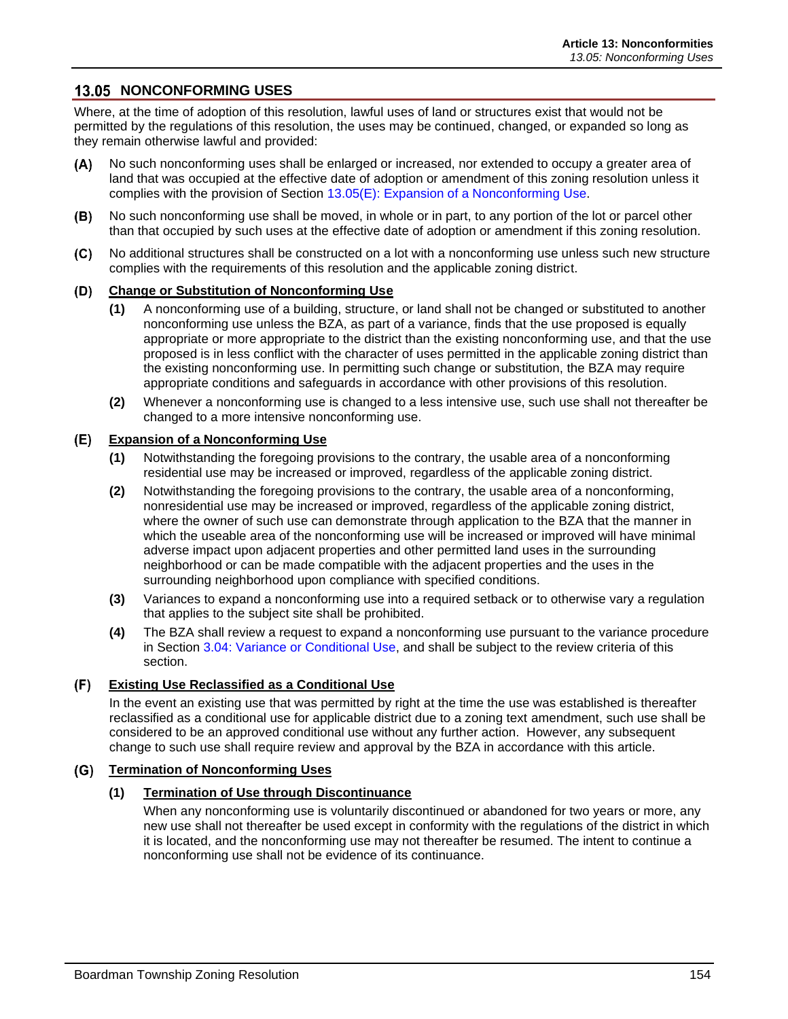### **13.05 NONCONFORMING USES**

Where, at the time of adoption of this resolution, lawful uses of land or structures exist that would not be permitted by the regulations of this resolution, the uses may be continued, changed, or expanded so long as they remain otherwise lawful and provided:

- No such nonconforming uses shall be enlarged or increased, nor extended to occupy a greater area of  $(A)$ land that was occupied at the effective date of adoption or amendment of this zoning resolution unless it complies with the provision of Section [13.05\(E\): Expansion of a Nonconforming Use.](#page-1-0)
- No such nonconforming use shall be moved, in whole or in part, to any portion of the lot or parcel other (B) than that occupied by such uses at the effective date of adoption or amendment if this zoning resolution.
- $(C)$ No additional structures shall be constructed on a lot with a nonconforming use unless such new structure complies with the requirements of this resolution and the applicable zoning district.

#### **Change or Substitution of Nonconforming Use**

- **(1)** A nonconforming use of a building, structure, or land shall not be changed or substituted to another nonconforming use unless the BZA, as part of a variance, finds that the use proposed is equally appropriate or more appropriate to the district than the existing nonconforming use, and that the use proposed is in less conflict with the character of uses permitted in the applicable zoning district than the existing nonconforming use. In permitting such change or substitution, the BZA may require appropriate conditions and safeguards in accordance with other provisions of this resolution.
- **(2)** Whenever a nonconforming use is changed to a less intensive use, such use shall not thereafter be changed to a more intensive nonconforming use.

#### <span id="page-1-0"></span>**Expansion of a Nonconforming Use**

- **(1)** Notwithstanding the foregoing provisions to the contrary, the usable area of a nonconforming residential use may be increased or improved, regardless of the applicable zoning district.
- **(2)** Notwithstanding the foregoing provisions to the contrary, the usable area of a nonconforming, nonresidential use may be increased or improved, regardless of the applicable zoning district, where the owner of such use can demonstrate through application to the BZA that the manner in which the useable area of the nonconforming use will be increased or improved will have minimal adverse impact upon adjacent properties and other permitted land uses in the surrounding neighborhood or can be made compatible with the adjacent properties and the uses in the surrounding neighborhood upon compliance with specified conditions.
- **(3)** Variances to expand a nonconforming use into a required setback or to otherwise vary a regulation that applies to the subject site shall be prohibited.
- **(4)** The BZA shall review a request to expand a nonconforming use pursuant to the variance procedure in Section 3.04: Variance or Conditional Use, and shall be subject to the review criteria of this section.

#### **Existing Use Reclassified as a Conditional Use**

In the event an existing use that was permitted by right at the time the use was established is thereafter reclassified as a conditional use for applicable district due to a zoning text amendment, such use shall be considered to be an approved conditional use without any further action. However, any subsequent change to such use shall require review and approval by the BZA in accordance with this article.

#### **Termination of Nonconforming Uses**

#### **(1) Termination of Use through Discontinuance**

When any nonconforming use is voluntarily discontinued or abandoned for two years or more, any new use shall not thereafter be used except in conformity with the regulations of the district in which it is located, and the nonconforming use may not thereafter be resumed. The intent to continue a nonconforming use shall not be evidence of its continuance.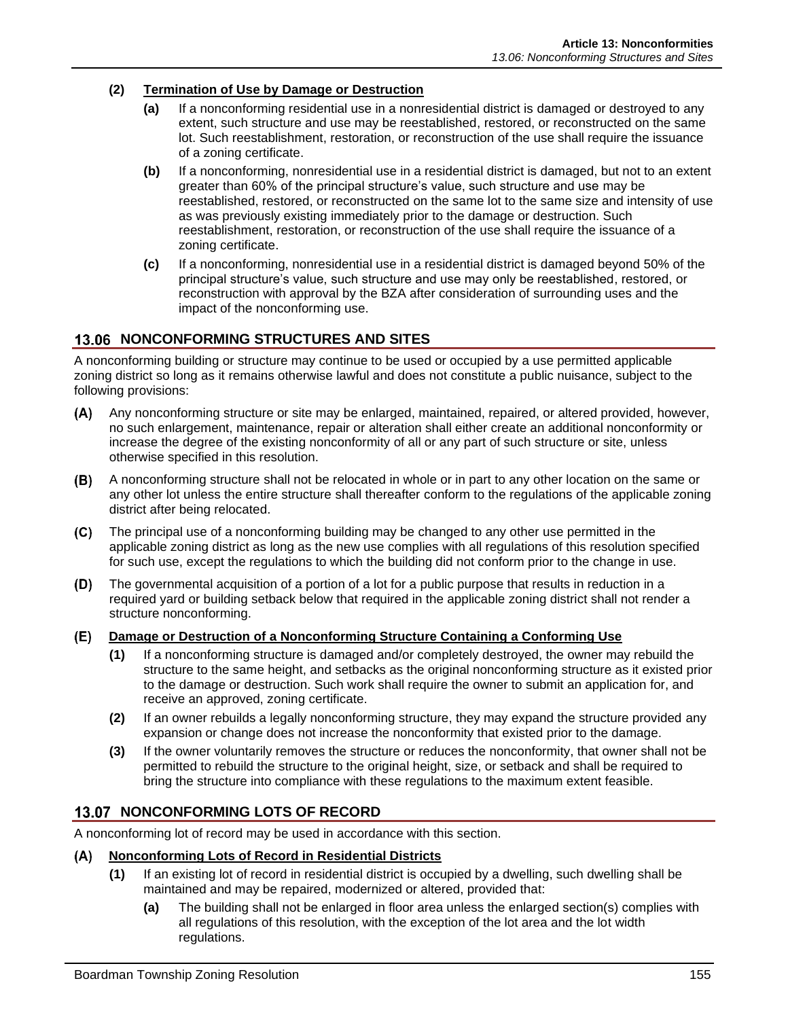#### **(2) Termination of Use by Damage or Destruction**

- **(a)** If a nonconforming residential use in a nonresidential district is damaged or destroyed to any extent, such structure and use may be reestablished, restored, or reconstructed on the same lot. Such reestablishment, restoration, or reconstruction of the use shall require the issuance of a zoning certificate.
- **(b)** If a nonconforming, nonresidential use in a residential district is damaged, but not to an extent greater than 60% of the principal structure's value, such structure and use may be reestablished, restored, or reconstructed on the same lot to the same size and intensity of use as was previously existing immediately prior to the damage or destruction. Such reestablishment, restoration, or reconstruction of the use shall require the issuance of a zoning certificate.
- **(c)** If a nonconforming, nonresidential use in a residential district is damaged beyond 50% of the principal structure's value, such structure and use may only be reestablished, restored, or reconstruction with approval by the BZA after consideration of surrounding uses and the impact of the nonconforming use.

### **13.06 NONCONFORMING STRUCTURES AND SITES**

A nonconforming building or structure may continue to be used or occupied by a use permitted applicable zoning district so long as it remains otherwise lawful and does not constitute a public nuisance, subject to the following provisions:

- $(A)$ Any nonconforming structure or site may be enlarged, maintained, repaired, or altered provided, however, no such enlargement, maintenance, repair or alteration shall either create an additional nonconformity or increase the degree of the existing nonconformity of all or any part of such structure or site, unless otherwise specified in this resolution.
- $(B)$ A nonconforming structure shall not be relocated in whole or in part to any other location on the same or any other lot unless the entire structure shall thereafter conform to the regulations of the applicable zoning district after being relocated.
- $(C)$ The principal use of a nonconforming building may be changed to any other use permitted in the applicable zoning district as long as the new use complies with all regulations of this resolution specified for such use, except the regulations to which the building did not conform prior to the change in use.
- $(D)$ The governmental acquisition of a portion of a lot for a public purpose that results in reduction in a required yard or building setback below that required in the applicable zoning district shall not render a structure nonconforming.
- **Damage or Destruction of a Nonconforming Structure Containing a Conforming Use**
	- **(1)** If a nonconforming structure is damaged and/or completely destroyed, the owner may rebuild the structure to the same height, and setbacks as the original nonconforming structure as it existed prior to the damage or destruction. Such work shall require the owner to submit an application for, and receive an approved, zoning certificate.
	- **(2)** If an owner rebuilds a legally nonconforming structure, they may expand the structure provided any expansion or change does not increase the nonconformity that existed prior to the damage.
	- **(3)** If the owner voluntarily removes the structure or reduces the nonconformity, that owner shall not be permitted to rebuild the structure to the original height, size, or setback and shall be required to bring the structure into compliance with these regulations to the maximum extent feasible.

### **13.07 NONCONFORMING LOTS OF RECORD**

A nonconforming lot of record may be used in accordance with this section.

### **Nonconforming Lots of Record in Residential Districts**

- **(1)** If an existing lot of record in residential district is occupied by a dwelling, such dwelling shall be maintained and may be repaired, modernized or altered, provided that:
	- **(a)** The building shall not be enlarged in floor area unless the enlarged section(s) complies with all regulations of this resolution, with the exception of the lot area and the lot width regulations.